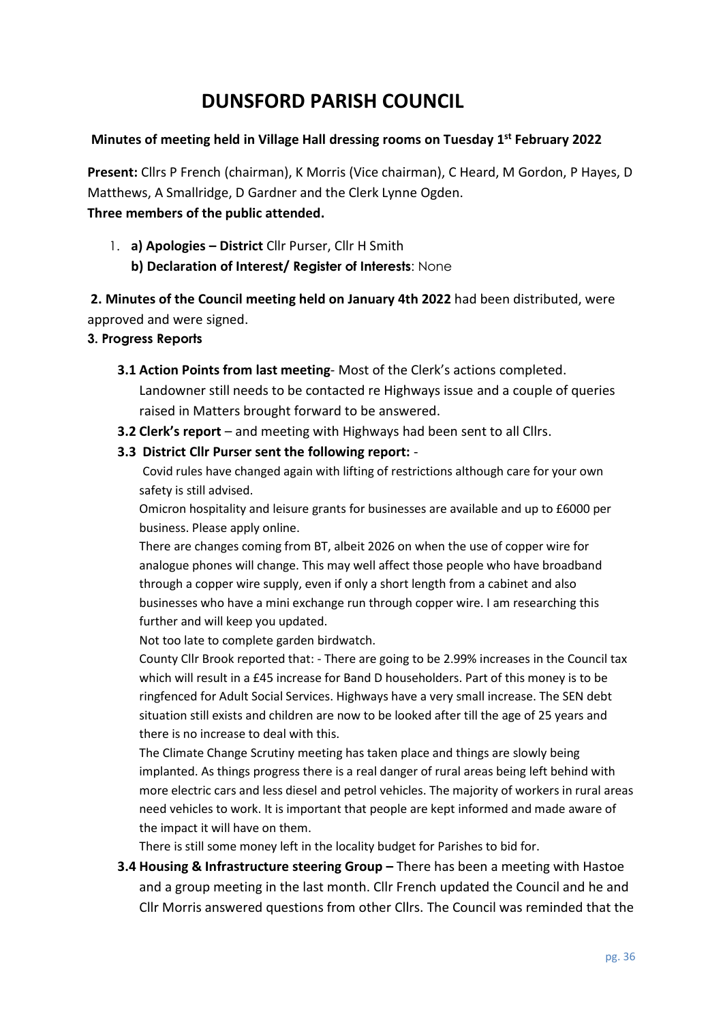# **DUNSFORD PARISH COUNCIL**

## **Minutes of meeting held in Village Hall dressing rooms on Tuesday 1 st February 2022**

**Present:** Cllrs P French (chairman), K Morris (Vice chairman), C Heard, M Gordon, P Hayes, D Matthews, A Smallridge, D Gardner and the Clerk Lynne Ogden. **Three members of the public attended.**

1. **a) Apologies – District** Cllr Purser, Cllr H Smith

**b) Declaration of Interest/ Register of Interests**: None

**2. Minutes of the Council meeting held on January 4th 2022** had been distributed, were approved and were signed.

### **3. Progress Reports**

**3.1 Action Points from last meeting**- Most of the Clerk's actions completed.

Landowner still needs to be contacted re Highways issue and a couple of queries raised in Matters brought forward to be answered.

- **3.2 Clerk's report** and meeting with Highways had been sent to all Cllrs.
- **3.3 District Cllr Purser sent the following report:** -

Covid rules have changed again with lifting of restrictions although care for your own safety is still advised.

Omicron hospitality and leisure grants for businesses are available and up to £6000 per business. Please apply online.

There are changes coming from BT, albeit 2026 on when the use of copper wire for analogue phones will change. This may well affect those people who have broadband through a copper wire supply, even if only a short length from a cabinet and also businesses who have a mini exchange run through copper wire. I am researching this further and will keep you updated.

Not too late to complete garden birdwatch.

County Cllr Brook reported that: - There are going to be 2.99% increases in the Council tax which will result in a £45 increase for Band D householders. Part of this money is to be ringfenced for Adult Social Services. Highways have a very small increase. The SEN debt situation still exists and children are now to be looked after till the age of 25 years and there is no increase to deal with this.

The Climate Change Scrutiny meeting has taken place and things are slowly being implanted. As things progress there is a real danger of rural areas being left behind with more electric cars and less diesel and petrol vehicles. The majority of workers in rural areas need vehicles to work. It is important that people are kept informed and made aware of the impact it will have on them.

There is still some money left in the locality budget for Parishes to bid for.

**3.4 Housing & Infrastructure steering Group –** There has been a meeting with Hastoe and a group meeting in the last month. Cllr French updated the Council and he and Cllr Morris answered questions from other Cllrs. The Council was reminded that the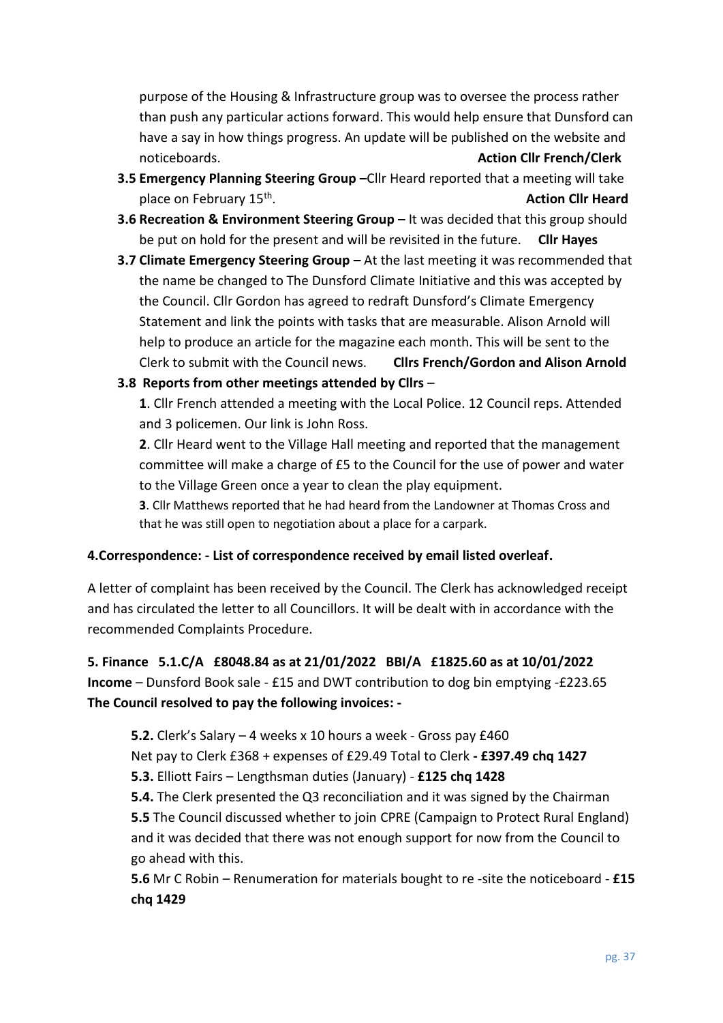purpose of the Housing & Infrastructure group was to oversee the process rather than push any particular actions forward. This would help ensure that Dunsford can have a say in how things progress. An update will be published on the website and noticeboards. **Action Cllr French/Clerk**

- **3.5 Emergency Planning Steering Group –**Cllr Heard reported that a meeting will take place on February 15<sup>th</sup>. . **Action Cllr Heard**
- **3.6 Recreation & Environment Steering Group –** It was decided that this group should be put on hold for the present and will be revisited in the future. **Cllr Hayes**
- **3.7 Climate Emergency Steering Group At the last meeting it was recommended that** the name be changed to The Dunsford Climate Initiative and this was accepted by the Council. Cllr Gordon has agreed to redraft Dunsford's Climate Emergency Statement and link the points with tasks that are measurable. Alison Arnold will help to produce an article for the magazine each month. This will be sent to the Clerk to submit with the Council news. **Cllrs French/Gordon and Alison Arnold**
- **3.8 Reports from other meetings attended by Cllrs** –

**1**. Cllr French attended a meeting with the Local Police. 12 Council reps. Attended and 3 policemen. Our link is John Ross.

**2**. Cllr Heard went to the Village Hall meeting and reported that the management committee will make a charge of £5 to the Council for the use of power and water to the Village Green once a year to clean the play equipment.

**3**. Cllr Matthews reported that he had heard from the Landowner at Thomas Cross and that he was still open to negotiation about a place for a carpark.

### **4.Correspondence: - List of correspondence received by email listed overleaf.**

A letter of complaint has been received by the Council. The Clerk has acknowledged receipt and has circulated the letter to all Councillors. It will be dealt with in accordance with the recommended Complaints Procedure.

**5. Finance 5.1.C/A £8048.84 as at 21/01/2022 BBI/A £1825.60 as at 10/01/2022 Income** – Dunsford Book sale - £15 and DWT contribution to dog bin emptying -£223.65 **The Council resolved to pay the following invoices: -**

**5.2.** Clerk's Salary – 4 weeks x 10 hours a week - Gross pay £460 Net pay to Clerk £368 + expenses of £29.49 Total to Clerk **- £397.49 chq 1427 5.3.** Elliott Fairs – Lengthsman duties (January) - **£125 chq 1428 5.4.** The Clerk presented the Q3 reconciliation and it was signed by the Chairman **5.5** The Council discussed whether to join CPRE (Campaign to Protect Rural England) and it was decided that there was not enough support for now from the Council to go ahead with this.

**5.6** Mr C Robin – Renumeration for materials bought to re -site the noticeboard - **£15 chq 1429**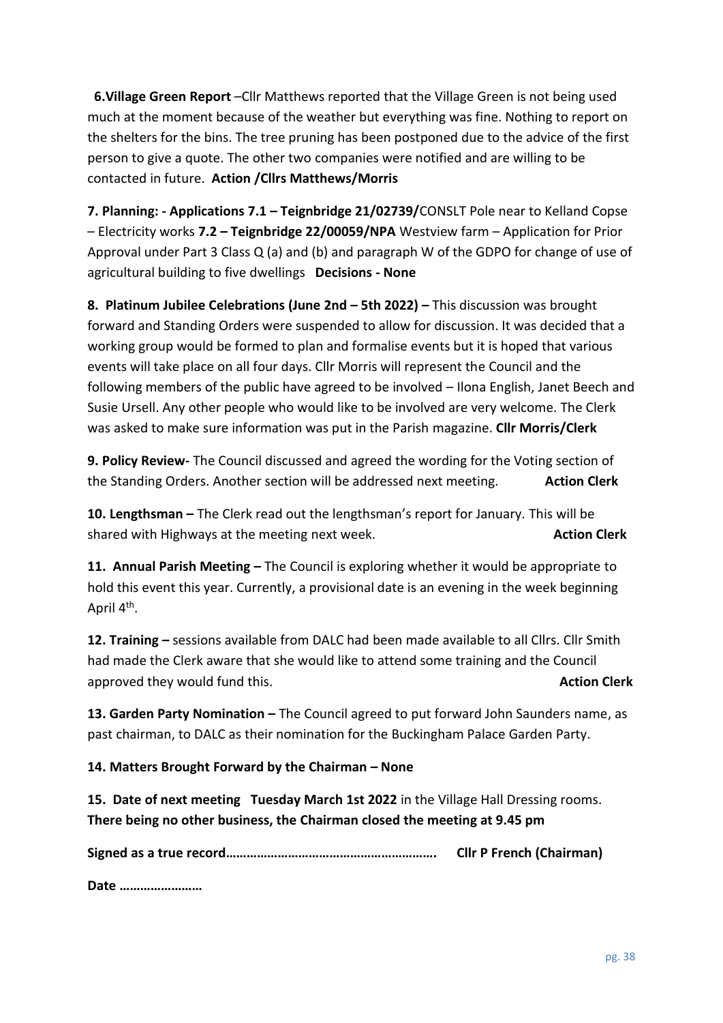**6.Village Green Report** –Cllr Matthews reported that the Village Green is not being used much at the moment because of the weather but everything was fine. Nothing to report on the shelters for the bins. The tree pruning has been postponed due to the advice of the first person to give a quote. The other two companies were notified and are willing to be contacted in future. **Action /Cllrs Matthews/Morris**

**7. Planning: - Applications 7.1 – Teignbridge 21/02739/**CONSLT Pole near to Kelland Copse – Electricity works **7.2 – Teignbridge 22/00059/NPA** Westview farm – Application for Prior Approval under Part 3 Class Q (a) and (b) and paragraph W of the GDPO for change of use of agricultural building to five dwellings **Decisions - None**

**8. Platinum Jubilee Celebrations (June 2nd – 5th 2022) –** This discussion was brought forward and Standing Orders were suspended to allow for discussion. It was decided that a working group would be formed to plan and formalise events but it is hoped that various events will take place on all four days. Cllr Morris will represent the Council and the following members of the public have agreed to be involved – Ilona English, Janet Beech and Susie Ursell. Any other people who would like to be involved are very welcome. The Clerk was asked to make sure information was put in the Parish magazine. **Cllr Morris/Clerk**

**9. Policy Review-** The Council discussed and agreed the wording for the Voting section of the Standing Orders. Another section will be addressed next meeting. **Action Clerk**

**10. Lengthsman –** The Clerk read out the lengthsman's report for January. This will be shared with Highways at the meeting next week. **Action Clerk Action Clerk** 

**11. Annual Parish Meeting –** The Council is exploring whether it would be appropriate to hold this event this year. Currently, a provisional date is an evening in the week beginning April 4<sup>th</sup>.

**12. Training –** sessions available from DALC had been made available to all Cllrs. Cllr Smith had made the Clerk aware that she would like to attend some training and the Council approved they would fund this. **Action Clerk** approved they would fund this.

**13. Garden Party Nomination –** The Council agreed to put forward John Saunders name, as past chairman, to DALC as their nomination for the Buckingham Palace Garden Party.

**14. Matters Brought Forward by the Chairman – None**

**15. Date of next meeting Tuesday March 1st 2022** in the Village Hall Dressing rooms. **There being no other business, the Chairman closed the meeting at 9.45 pm**

**Signed as a true record……………………………………………………. Cllr P French (Chairman)**

**Date ……………………**